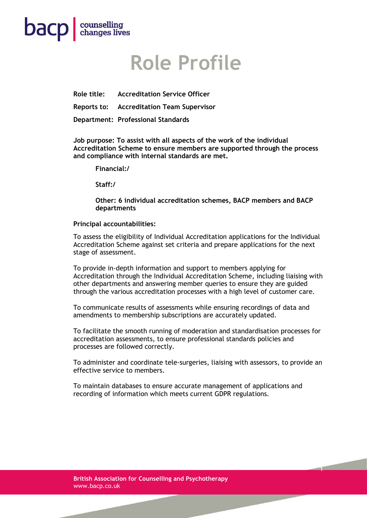

### **Role Profile**

**Role title: Accreditation Service Officer** 

**Reports to: Accreditation Team Supervisor**

**Department: Professional Standards**

**Job purpose: To assist with all aspects of the work of the individual Accreditation Scheme to ensure members are supported through the process and compliance with internal standards are met.**

**Financial:/**

**Staff:/**

**Other: 6 individual accreditation schemes, BACP members and BACP departments** 

#### **Principal accountabilities:**

To assess the eligibility of Individual Accreditation applications for the Individual Accreditation Scheme against set criteria and prepare applications for the next stage of assessment.

To provide in-depth information and support to members applying for Accreditation through the Individual Accreditation Scheme, including liaising with other departments and answering member queries to ensure they are guided through the various accreditation processes with a high level of customer care.

To communicate results of assessments while ensuring recordings of data and amendments to membership subscriptions are accurately updated.

To facilitate the smooth running of moderation and standardisation processes for accreditation assessments, to ensure professional standards policies and processes are followed correctly.

To administer and coordinate tele-surgeries, liaising with assessors, to provide an effective service to members.

1

To maintain databases to ensure accurate management of applications and recording of information which meets current GDPR regulations.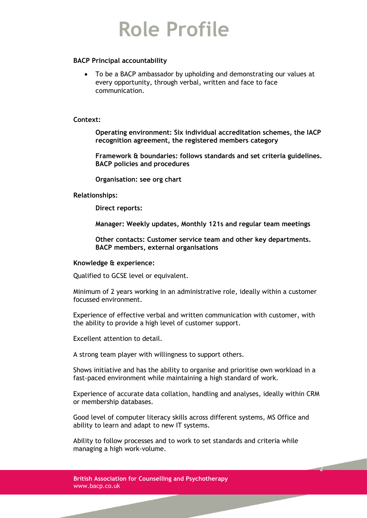# **Role Profile**

### **BACP Principal accountability**

• To be a BACP ambassador by upholding and demonstrating our values at every opportunity, through verbal, written and face to face communication.

#### **Context:**

**Operating environment: Six individual accreditation schemes, the IACP recognition agreement, the registered members category** 

**Framework & boundaries: follows standards and set criteria guidelines. BACP policies and procedures**

**Organisation: see org chart**

#### **Relationships:**

**Direct reports:**

**Manager: Weekly updates, Monthly 121s and regular team meetings** 

**Other contacts: Customer service team and other key departments. BACP members, external organisations**

#### **Knowledge & experience:**

Qualified to GCSE level or equivalent.

Minimum of 2 years working in an administrative role, ideally within a customer focussed environment.

Experience of effective verbal and written communication with customer, with the ability to provide a high level of customer support.

Excellent attention to detail.

A strong team player with willingness to support others.

Shows initiative and has the ability to organise and prioritise own workload in a fast-paced environment while maintaining a high standard of work.

Experience of accurate data collation, handling and analyses, ideally within CRM or membership databases.

2

Good level of computer literacy skills across different systems, MS Office and ability to learn and adapt to new IT systems.

Ability to follow processes and to work to set standards and criteria while managing a high work-volume.